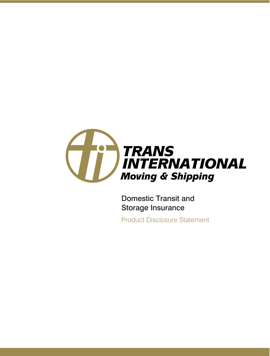

Domestic Transit and Storage Insurance

Product Disclosure Statement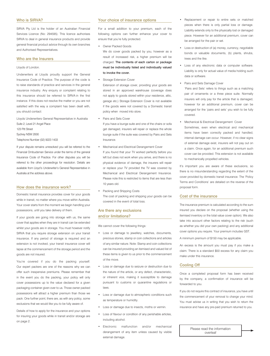### Who is SIRVA?

SIRVA Pty Ltd is the holder of an Australian Financial Services Licence (No: 294595). This licence authorises SIRVA to deal in general insurance products and provide general financial product advice through its own branches and Authorised Representatives.

### Who are the Insurers

### Lloyds of London.

Underwriters at Lloyds proudly support the General Insurance Code of Practice. The purpose of the code is to raise standards of practice and services in the general insurance industry. Any enquiry or complaint relating to this insurance should be referred to SIRVA in the first instance. If this does not resolve the matter or you are not satisfied with the way a complaint has been dealt with, you should contact:

Lloyds Underwriters General Representative in Australia Suite 2, Level 21 Angel Place

123 Pitt Street

Sydney NSW 2000

Telephone Number (02) 9223 1433

If your dispute remains unresolved you will be referred to the Financial Ombudsman Service under the terms of the general Insurance Code of Practice. For other disputes you will be referred to the other proceedings for resolution. Details are available from Lloyd's Underwriter's General Representative in Australia at the address above.

### How does the insurance work?

Domestic transit insurance provides cover for your goods while in transit, no matter where you move within Australia. Your cover starts from the moment we begin handling your possessions, until you take delivery of them.

If your goods are going into storage with us, the same cover that applies when they are in transit can be extended whilst your goods are in storage. You must however notify SIRVA that you require storage extension on your transit insurance. If any period of storage is required and an extension is not invoked, your transit insurance cover will lapse at the commencement of the storage period and the goods are not insured.

You're covered if you do the packing yourself. Our expert packers are one of the reasons why we can offer such inexpensive premiums. Please remember that in the event you do the packing, your policy will only cover possessions up to the value declared for a given packaging container given over to us. Those owner packed possessions will attract a higher premium than those we pack. One further point, there are, as with any policy, some exclusions that we would like you to be fully aware of.

Details of how to apply for the insurance and your options for insuring your goods while in transit and/or storage are on page 2.

### Your choice of insurance options

For a small addition to your premium, each of the following options can further enhance your cover to ensure that you're fully protected.

• Owner Packed Goods

 We do cover goods packed by you, however as a result of increased risk, a higher premium will be charged. The contents of each carton or package must be individually listed and individually valued to invoke the cover.

Storage Extension Cover

Extension of storage cover, providing your goods are stored in an approved warehouse (coverage does not apply to goods stored within your residence, attic, garage etc.) Storage Extension Cover is not available if the goods were not covered by a Domestic transit policy when moved into store.

Pairs and Sets Cover

If you have a lounge suite and one of the chairs or sofa get damaged, insurers will repair or replace the whole lounge suite if the suite was covered by Pairs and Sets Insurance.

- Mechanical and Electrical Derangement Cover If you found that your TV worked perfectly before you left but does not work when you arrive, and there is no physical evidence of damage, the insurers will repair or replace your TV provided the TV was covered by Mechanical and Electrical Derangement Insurance. Please note this is restricted to items that are less than 10 years old.
- Packing and Shipping Costs The cost of packing and shipping your goods can be covered in the event of total loss.

# Are there any exclusions and/or limitations?

We cannot cover the following things:

- Loss or damage to jewellery, watches, documents, precious stones, stamp or coin collections and articles of any similar nature. Note: Stamp and coin collections can be insured providing an itemised and valued list of these items is given to us prior to the commencement of the move.
- Loss or damage due to seizure or destruction due to the nature of the article, or any defect, characteristic, or inherent vice, making it susceptible to damage pursuant to customs or quarantine regulations or laws.
- Loss or damage due to atmospheric conditions such as temperature or humidity.
- Loss or damage due to insects, moths or vermin.
- Loss of flavour or condition of any perishable articles, including alcohol.
- Electronic malfunction and/or mechanical derangement of any item unless caused by visible external damage.
- Replacement or repair to entire sets or matched pieces when there is only partial loss or damage. Liability extends only to the physically lost or damaged piece. However for an additional premium, cover can be arranged for the pair or set.
- Loss or destruction of (a) money, currency, negotiable bonds or valuable documents, (b) plants, shrubs, trees and the like.
- Loss of any electronic data or computer software. Liability is only for actual value of media holding such data or software.
- Pairs and Sets Damage Cover 'Pairs and Sets' refers to things such as a matching pair of ornaments or a three piece suite. Normally insurers will only pay for the article that is damaged, however for an additional premium, cover can be arranged for the 'pairs and sets' you wish to be fully covered.
- Mechanical & Electrical Derangement Cover Sometimes, even when electrical and mechanical items have been correctly packed and handled, internal damage can occur. However, if no clear signs of external damage exist, insurers will not pay out on a claim. Once again, for an additional premium such cover can be provided. This extension is not available to mechanically propelled vehicles.

It's important you are aware of these exclusions, so there is no misunderstanding regarding the extent of the cover provided by domestic transit insurance. The 'Policy Terms and Conditions' are detailed on the reverse of the proposal form.

# Cost of the insurance

The insurance premium is calculated according to the sum insured you declare on the proposal (whether using the itemised inventory or the total value cover option). We also take into account other factors relating to the risk (such as whether you did your own packing) and any additional cover options you require. Your premium includes GST.

A minimum premium of \$150 may be applicable.

An excess is the amount you must pay if you make a claim. There is a standard \$50 excess for any claim you make under this insurance.

### Cooling Off

Once a completed proposal form has been received by the company, a confirmation of insurance will be forwarded to you.

If you do not require this contract of insurance, you have until the commencement of your removal to change your mind. You must advise us in writing that you wish to return the insurance and have any pre-paid premium returned to you.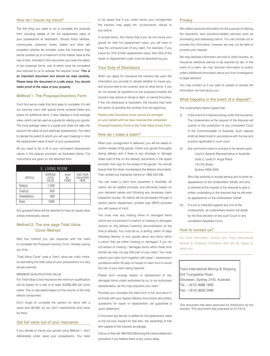### How do I insure my move?

The first thing you need to do is complete the proposal form including details of the full replacement value of your possessions at destination. Should motor vehicles, motorcycles, caravans, boats, trailers and other self propelled vehicles be included under this insurance they will be covered up to a maximum of the market value at the day of loss. Included in this document you have the option of two proposal forms, one of which must be completed and returned to us to activate the required cover. This is an important document and should be read carefully. Please keep the document in a safe place. You should retain proof of the value of your property.

## Method 1: The Proposal/Inventory Form

You'll find we've made this form easy to complete. It's laid out room-by room with typical home contents listed and space for additional items. It also displays a local average value, which can be used as a guide for valuing your goods. The local average value is a guide and does not take into account the value of your particular possessions. You need to decide the extent to which you will use it bearing in mind the replacement value of each of your possessions.

All you need to do is fill in your nominated replacement values in the spaces provided, as illustrated below. Full instructions are given on the attached form.

| E. LIVING ROOM |                           |                               |                                      |  |  |
|----------------|---------------------------|-------------------------------|--------------------------------------|--|--|
| <b>ARTICLE</b> | AVERAGE<br>LOCAL<br>VALUE | Insert<br>No.<br><b>ITEMS</b> | ADD YOUR<br>VALUATION<br><b>HERE</b> |  |  |
| Sofa(s)        | 1.500                     |                               |                                      |  |  |
| Chair(s)       | 850                       |                               |                                      |  |  |
| Sidetable(s)   | 400                       |                               |                                      |  |  |
| Desk           | 1000                      |                               |                                      |  |  |

Any grouped items will be deemed to have an equal value unless individually valued.

# Method 2: The one page Total Value Cover Method

With this method you can dispense with the need to complete the Proposal Inventory Form, thereby saving you time.

'Total Value Cover' uses a 'fixed' value per cubic metre, so estimating the total value of your possessions is a very simple exercise.

### MINIMI IM OLIALIFICATION VALLIF

For Total Value Cover Insurance the minimum qualification will be based on a rate of at least AUD\$2,000 per cubic metre. This is calculated based on the volume of the total effects transported.

Don't forget to complete the section for items with a value over \$5,000, so you don't inadvertently limit cover for them.

### Get full value out of your insurance

If you decide to insure your goods using Method 1, don't deliberately under value your possessions. You need

to be aware that if you under insure your consignment the insurers may apply the 'co-insurance' clause to any claims.

In simple terms, this means that if you do not insure your goods for their full replacement value, you will have to bear the uninsured part of any claim. For example, if you insure for 75% of their replacement value, then 25% of the repair or replacement costs must be absorbed by you.

### Your Duty of Disclosure

When you apply for insurance the insurers rely upon the information you provide to decide whether to insure you, and anyone else to be covered, and on what terms. If you do not answer all questions on the proposal honestly the insurers may reduce or refuse a claim, or cancel the policy. If the non-disclosure is fraudulent, the insurers may have the option of avoiding the contract from its beginning.

Please note! Insurance cover cannot be arranged on your behalf until we have received the completed Proposal Inventory Form or the Total Value Cover Form.

# How do I make a claim?

When your consignment is delivered, you will be asked to confirm receipt of the goods. Check your goods thoroughly during delivery and if there is any shortage or damage make note of this on the delivery documents in the space provided, then sign for the receipt of the goods. You should ensure that the driver countersigns the delivery documents. Then contact our Insurance Centre on 1800 033 538.

You can make a claim from anywhere in Australia. All claims will be settled promptly and efficiently based on your declared values and following any necessary claim inspection survey. All claims will be processed through a central claims department; another way SIRVA provides you with peace of mind.

You must note any missing items or damaged items (which are not packed in a carton) or missing or damaged cartons on the delivery inventory documentation at the time of delivery. You must tell us, in writing, within 14 days following delivery of your goods about any items within a carton that are either missing or damaged. If you do not advise of missing / damaged items within these time frames we may not pay that part of your claim. You must submit your claim form together with repair / replacement quotations within 30 days of receipt of claim form to avoid the risk of your claim being rejected.

Please don't arrange repairs or replacement of any damaged items unless authorised by us, or our authorised representative, as this may prejudice your claim.

Provided you complete the claim form in full, and return it promptly with your signed delivery documents and written quotations for repair or replacement, we guarantee a quick settlement.

In the event any item(s) is settled for full replacement value or the full sum insured for that item, the ownership of that item passes to the Insurers as salvage.

Call us on free call 1800 033 538 during the claims settlement procedure if you believe there is any undue delay.

### **Privacy**

We collect personal information for the purpose of offering the insurance, and insurance-related services such as processing and assessing claims. You can choose not to provide this information, however we may not be able to process your request.

We may disclose information we hold to other insurers, an insurance reference service or as required by law. In the event of a claim, we may disclose information to and/or collect additional information about you from investigators or legal advisors.

You may contact us if you wish to update or access the information we hold about you.

### What happens in the event of a dispute?

The underwriters hereon agree that:

- In the event of a dispute arising under this insurance, The Underwriters at the request of the Assured will submit to the jurisdiction of any competent Court in the Commonwealth of Australia. Such dispute shall be determined in accordance with the law and practice applicable in such court.
- (ii) Any summons notice or process to be served upon: Lloyd's General Representative in Australia Suite 2, Level 21 Angel Place 123 Pitt Street Sydney NSW 2000

 Who has authority to accept service and to enter an appearance on the Underwriters' behalf, and who is directed at the request of the Assured to give a written undertaking to the Assured that he will enter an appearance on the underwriters' behalf.

(iii) If a suit is instituted against any one of the Underwriters, all underwriters hereon will abide by the final decision of any such Court or any competent Appellate Court.

### How to contact us?

For more information, contact your Trans International Moving & Shipping Consultant who will be happy to assist you.

Trans International Moving & Shipping 254 Toongabbie Road Girraween, Sydney 2145, Australia Tel: +(612) 9688 1800 Fax: +(612) 9636 2466

This document has been approved for distribution by the insurers. This document was prepared on 01/10/10.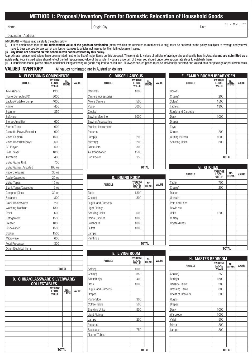# **METHOD 1: Proposal/Inventory Form for Domestic Relocation of Household Goods**

Name DD / MM / YY

Destination Address

IMPORTANT – Please read carefully the notes below<br>(i) It is re-emphasised that the **full replacement v** 

It is re-emphasised that the **full replacement value of the goods at destination** (motor vehicles are restricted to market value only) must be declared as the policy is subject to average and you will have to bear a proportionate part of any loss or damage to articles not insured for their full replacement value.

(ii) **Any items not declared on this schedule will not be covered by this policy.**

Approximate replacement values have been printed next to the list of major items on this proposal. These relate to values of articles of average size and quality here in Australia **and are submitted as a**  guide only. Your insured value should reflect the full replacement value of the article. If you are uncertain of these, you should undertake appropriate steps to establish them.

(iii) If insufficient space, please provide additional listing covering all goods required to be insured. All owner packed goods must be individually declared and valued on a per package or per carton basis.

**VALUED INVENTORY** All values nominated are in Australian dollars

| A. ELECTRONIC COMPONENTS      |                           |                     |              |
|-------------------------------|---------------------------|---------------------|--------------|
| <b>ARTICLE</b>                | AVERAGE<br>LOCAL<br>VALUE | No.<br><b>ITEMS</b> | <b>VALUE</b> |
| Television(s)                 | 1300                      |                     |              |
| Home Computer/PC              | 3000                      |                     |              |
| Laptop/Portable Comp          | 4000                      |                     |              |
| Printer                       | 450                       |                     |              |
| Scanner                       | 350                       |                     |              |
| Software                      |                           |                     |              |
| Stereo Amplifier              | 600                       |                     |              |
| Stereo Tuner                  | 600                       |                     |              |
| Cassette Player/Recorder      | 600                       |                     |              |
| Video Camera                  | 1500                      |                     |              |
| Video Recorder/Player         | 500                       |                     |              |
| CD Player                     | 500                       |                     |              |
| <b>DVD Player</b>             | 1000                      |                     |              |
| Turntable                     | 400                       |                     |              |
| Video Game Unit               | 700                       |                     |              |
| Video Games Assorted          | 100 ea                    |                     |              |
| Record Albums                 | 30 ea                     |                     |              |
| <b>Audio Cassettes</b>        | 20 ea                     |                     |              |
| Video Tapes                   | 15 ea                     |                     |              |
| <b>Blank Tapes/Cassettes</b>  | 6 ea                      |                     |              |
| <b>Compact Discs</b>          | 30 ea                     |                     |              |
| <b>Speakers</b>               | 800                       |                     |              |
| Clock Radio/Alarm             | 200                       |                     |              |
| Washing Machine               | 1300                      |                     |              |
| Dryer                         | 600                       |                     |              |
| Refrigerator                  | 1500                      |                     |              |
| Freezer                       | 1000                      |                     |              |
| Dishwasher                    | 1500                      |                     |              |
| Cooker                        | 1500                      |                     |              |
| Microwave                     | 600                       |                     |              |
| Food Processor                | 300                       |                     |              |
| <b>Other Electrical Items</b> |                           |                     |              |
|                               |                           |                     |              |
|                               |                           |                     |              |
|                               |                           |                     |              |
|                               |                           | <b>TOTAL</b>        |              |

| <b>B. CHINA/GLASSWARE SILVERWARE/</b><br><b>COLLECTABLES</b> |                                  |                     |              |
|--------------------------------------------------------------|----------------------------------|---------------------|--------------|
|                                                              | AVERAGE<br><b>LOCAL</b><br>VALUE | No.<br><b>ITEMS</b> | <b>VALUE</b> |
|                                                              |                                  |                     |              |
|                                                              |                                  |                     |              |
|                                                              |                                  |                     |              |
|                                                              |                                  |                     |              |
|                                                              |                                  |                     |              |
|                                                              |                                  |                     |              |
|                                                              |                                  |                     |              |
|                                                              |                                  |                     |              |
|                                                              |                                  |                     |              |
|                                                              |                                  |                     |              |
|                                                              | <b>TOTAL</b>                     |                     |              |

| C. MISCELLANEOUS    |                                                |                     |              |  |
|---------------------|------------------------------------------------|---------------------|--------------|--|
| <b>ARTICLE</b>      | <b>AVERAGE</b><br><b>LOCAL</b><br><b>VALUE</b> | No.<br><b>ITEMS</b> | <b>VALUE</b> |  |
| Cameras             | 1000                                           |                     |              |  |
| Camera Accessories  |                                                |                     |              |  |
| Movie Camera        | 500                                            |                     |              |  |
| Piano               | 5000                                           |                     |              |  |
| Clocks              |                                                |                     |              |  |
| Sewing Machine      | 1000                                           |                     |              |  |
| Sewing Accessories  |                                                |                     |              |  |
| Musical Instruments |                                                |                     |              |  |
| Pictures            |                                                |                     |              |  |
| Lamp(s)             | 200                                            |                     |              |  |
| Mirror(s)           | 200                                            |                     |              |  |
| <b>Binoculars</b>   | 300                                            |                     |              |  |
| Air Conditioner     | 1500                                           |                     |              |  |
| Fan Cooler          | 150                                            |                     |              |  |
|                     |                                                |                     |              |  |
|                     |                                                | <b>TOTAL</b>        |              |  |

| F. FAMILY ROOM/LIBRARY/DEN |                                         |                     |       |
|----------------------------|-----------------------------------------|---------------------|-------|
| <b>ARTICLE</b>             | <b>AVERAGE</b><br><b>LOCAL</b><br>VALUE | No.<br><b>ITEMS</b> | VALUE |
| <b>Books</b>               |                                         |                     |       |
| Chair(s)                   | 200                                     |                     |       |
| Sofa(s)                    | 1500                                    |                     |       |
| Table(s)                   | 1300                                    |                     |       |
| Rug(s) and Carpet(s)       |                                         |                     |       |
| <b>Desk</b>                | 1000                                    |                     |       |
| Drapes                     |                                         |                     |       |
| Toys                       |                                         |                     |       |
| Games                      | 200                                     |                     |       |
| Writing Bureau             | 1000                                    |                     |       |
| <b>Shelving Units</b>      | 500                                     |                     |       |
|                            |                                         |                     |       |
|                            |                                         |                     |       |
|                            |                                         | <b>TOTAL</b>        |       |
|                            |                                         |                     |       |

| <b>D. DINING ROOM</b> |                                         |                     |              |
|-----------------------|-----------------------------------------|---------------------|--------------|
| <b>ARTICLE</b>        | <b>AVERAGE</b><br>LOCAL<br><b>VALUE</b> | No.<br><b>ITEMS</b> | <b>VALUE</b> |
| Table                 | 1300                                    |                     |              |
| Chair(s)              | 300                                     |                     |              |
| Rug(s) and Carpet(s)  |                                         |                     |              |
| Light Fittings        |                                         |                     |              |
| <b>Shelving Units</b> | 600                                     |                     |              |
| China Cabinet         | 1000                                    |                     |              |
| Sideboard             | 1000                                    |                     |              |
| <b>Buffet</b>         | 1000                                    |                     |              |
| Lamps                 |                                         |                     |              |
| Paintings             |                                         |                     |              |
|                       |                                         | TOTAL               |              |

| <b>E. LIVING ROOM</b> |                                  |                     |       |
|-----------------------|----------------------------------|---------------------|-------|
| <b>ARTICLE</b>        | <b>AVERAGE</b><br>LOCAL<br>VALUE | No.<br><b>ITEMS</b> | VALUE |
| Sofa(s)               | 1500                             |                     |       |
| Chair(s)              | 850                              |                     |       |
| Sidetable(s)          | 400                              |                     |       |
| Desk                  | 1000                             |                     |       |
| Rug(s) and Carpet(s)  |                                  |                     |       |
| <b>Drapes</b>         |                                  |                     |       |
| Piano Stool           | 300                              |                     |       |
| Coffee Table          | 500                              |                     |       |
| <b>Shelving Units</b> | 500                              |                     |       |
| Light Fittings        |                                  |                     |       |
| Lamps                 | 200                              |                     |       |
| Pictures              |                                  |                     |       |
| Bookcase              | 750                              |                     |       |
| Nest of Tables        |                                  |                     |       |
|                       |                                  |                     |       |
|                       |                                  |                     |       |
|                       |                                  | <b>TOTAL</b>        |       |

| <b>G. KITCHEN</b> |                                         |                     |              |  |
|-------------------|-----------------------------------------|---------------------|--------------|--|
| <b>ARTICLE</b>    | <b>AVERAGE</b><br><b>LOCAL</b><br>VALUE | No.<br><b>ITEMS</b> | <b>VALUE</b> |  |
| Table             | 700                                     |                     |              |  |
| Chair(s)          | 200                                     |                     |              |  |
| <b>Dishes</b>     |                                         |                     |              |  |
| Utensils          |                                         |                     |              |  |
| Pots and Pans     |                                         |                     |              |  |
| Bowls etc.        |                                         |                     |              |  |
| Units             | 1200                                    |                     |              |  |
| Cutlery           |                                         |                     |              |  |
| Crystal/Glass     |                                         |                     |              |  |
|                   |                                         |                     |              |  |
|                   |                                         |                     |              |  |
|                   |                                         |                     |              |  |
|                   |                                         |                     |              |  |
|                   |                                         | <b>TOTAL</b>        |              |  |

| <b>H. MASTER BEDROOM</b> |                                         |                     |              |
|--------------------------|-----------------------------------------|---------------------|--------------|
| <b>ARTICLE</b>           | <b>AVERAGE</b><br><b>LOCAL</b><br>VALUE | No.<br><b>ITEMS</b> | <b>VALUE</b> |
| Chair(s)                 | 250                                     |                     |              |
| Beds(s)                  | 1500                                    |                     |              |
| <b>Bedside Table</b>     | 300                                     |                     |              |
| <b>Dressing Table</b>    | 800                                     |                     |              |
| <b>Chest of Drawers</b>  | 500                                     |                     |              |
| Rug(s)                   |                                         |                     |              |
| Drapes                   |                                         |                     |              |
| <b>Desk</b>              | 1000                                    |                     |              |
| Wardrobe                 | 1000                                    |                     |              |
| Valet                    | 500                                     |                     |              |
| Mirror                   | 200                                     |                     |              |
| Lamps                    | 200                                     |                     |              |
|                          |                                         |                     |              |
|                          |                                         |                     |              |
|                          |                                         |                     |              |
|                          |                                         | <b>TOTAL</b>        |              |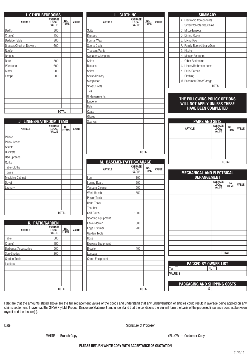| <b>I. OTHER BEDROOMS</b> |                                  |                     |       |
|--------------------------|----------------------------------|---------------------|-------|
| <b>ARTICLE</b>           | <b>AVERAGE</b><br>LOCAL<br>VALUE | No.<br><b>ITEMS</b> | VALUE |
| Bed(s)                   | 800                              |                     |       |
| Chair(s)                 | 150                              |                     |       |
| <b>Bedside Table</b>     | 300                              |                     |       |
| Dresser/Chest of Drawers | 600                              |                     |       |
| Rug(s)                   |                                  |                     |       |
| <b>Drapes</b>            |                                  |                     |       |
| <b>Desk</b>              | 800                              |                     |       |
| Wardrobe                 | 600                              |                     |       |
| Mirror                   | 200                              |                     |       |
| Lamps                    | 200                              |                     |       |
|                          |                                  |                     |       |
|                          |                                  |                     |       |
|                          |                                  |                     |       |
|                          |                                  |                     |       |
|                          |                                  |                     |       |
|                          |                                  |                     |       |
|                          |                                  | <b>TOTAL</b>        |       |

| <b>J. LINENS/BATHROOM ITEMS</b> |                                         |                     |       |
|---------------------------------|-----------------------------------------|---------------------|-------|
| <b>ARTICLE</b>                  | <b>AVERAGE</b><br>LOCAL<br><b>VALUE</b> | No.<br><b>ITEMS</b> | VALUE |
| Pillows                         |                                         |                     |       |
| <b>Pillow Cases</b>             |                                         |                     |       |
| <b>Sheets</b>                   |                                         |                     |       |
| <b>Blankets</b>                 |                                         |                     |       |
| <b>Bed Spreads</b>              |                                         |                     |       |
| Quilts                          |                                         |                     |       |
| <b>Table Cloths</b>             |                                         |                     |       |
| Towels                          |                                         |                     |       |
| Medicine Cabinet                |                                         |                     |       |
| Duvet                           |                                         |                     |       |
| Laundry                         |                                         |                     |       |
|                                 |                                         |                     |       |
|                                 |                                         |                     |       |
|                                 |                                         |                     |       |
|                                 |                                         |                     |       |
|                                 |                                         | <b>TOTAL</b>        |       |

| K. PATIO/GARDEN      |                                  |                     |              |  |  |
|----------------------|----------------------------------|---------------------|--------------|--|--|
| <b>ARTICLE</b>       | <b>AVERAGE</b><br>LOCAL<br>VALUE | No.<br><b>ITEMS</b> | <b>VALUE</b> |  |  |
| Table                | 500                              |                     |              |  |  |
| Chair(s)             | 150                              |                     |              |  |  |
| Barbeque/Accessories | 500                              |                     |              |  |  |
| Sun-Shades           | 200                              |                     |              |  |  |
| Garden Tools         |                                  |                     |              |  |  |
| Ladders              |                                  |                     |              |  |  |
|                      |                                  |                     |              |  |  |
|                      |                                  |                     |              |  |  |
|                      |                                  |                     |              |  |  |
|                      |                                  |                     |              |  |  |
| TOTAL                |                                  |                     |              |  |  |

| L. CLOTHING              |                                         |                     |              |
|--------------------------|-----------------------------------------|---------------------|--------------|
| <b>ARTICLE</b>           | <b>AVERAGE</b><br><b>LOCAL</b><br>VALUE | No.<br><b>ITEMS</b> | <b>VALUE</b> |
| Suits                    |                                         |                     |              |
| <b>Dresses</b>           |                                         |                     |              |
| Formal Wear              |                                         |                     |              |
| Sports Coats             |                                         |                     |              |
| Trousers/Pants           |                                         |                     |              |
| Sweaters/Jumpers         |                                         |                     |              |
| <b>Skirts</b>            |                                         |                     |              |
| <b>Blouses</b>           |                                         |                     |              |
| <b>Shirts</b>            |                                         |                     |              |
| Socks/Hosiery            |                                         |                     |              |
| Sleepwear                |                                         |                     |              |
| Shoes/Boots              |                                         |                     |              |
| Ties                     |                                         |                     |              |
| <b>Undergarments</b>     |                                         |                     |              |
| Lingerie                 |                                         |                     |              |
| Hats                     |                                         |                     |              |
| Coats                    |                                         |                     |              |
| Gloves                   |                                         |                     |              |
| Scarves                  |                                         |                     |              |
|                          |                                         |                     |              |
|                          |                                         |                     |              |
|                          |                                         |                     |              |
|                          |                                         |                     |              |
|                          |                                         |                     |              |
|                          |                                         | <b>TOTAL</b>        |              |
|                          |                                         |                     |              |
| M. BASEMENT/ATTIC/GARAGE |                                         |                     |              |
| <b>ARTICLE</b>           | <b>AVERAGE</b><br><b>LOCAL</b><br>VALUE | No.<br><b>ITEMS</b> | <b>VALUE</b> |
| Iron                     | 100                                     |                     |              |
| Ironing Board            | 200                                     |                     |              |
| Vacuum Cleaner           | 500                                     |                     |              |
| Work Bench               | 350                                     |                     |              |
| Power Tools              |                                         |                     |              |
| Hand Tools               |                                         |                     |              |
| <b>Tool Box</b>          |                                         |                     |              |
| Golf Clubs               | 1000                                    |                     |              |
| Sporting Equipment       |                                         |                     |              |
| Lawn Mower               | 600                                     |                     |              |
| Edge Trimmer             |                                         |                     |              |
|                          |                                         |                     |              |
|                          | 200                                     |                     |              |
| Garden Tools<br>Hose     |                                         |                     |              |

|                          | <b>SUMMARY</b>               |
|--------------------------|------------------------------|
| A. Electronic Components |                              |
|                          | B. Silver/Collectables/China |
| C. Miscellaneous         |                              |
| D. Dining Room           |                              |
| E. Living Room           |                              |
|                          | F. Family Room/Library/Den   |
| G. Kitchen               |                              |
| H. Master Bedroom        |                              |
| Other Bedrooms<br>L      |                              |
| J. Linens/Bathroom Items |                              |
| K. Patio/Garden          |                              |
| Clothing                 |                              |
|                          | M. Basement/Attic/Garage     |
|                          | TOTAL                        |

# **THE FOLLOWING POLICY OPTIONS WILL NOT APPLY UNLESS THESE HAVE BEEN COMPLETED**

| <b>PAIRS AND SETS</b> |                                                |                     |              |  |  |
|-----------------------|------------------------------------------------|---------------------|--------------|--|--|
| <b>ARTICLE</b>        | <b>AVERAGE</b><br><b>LOCAL</b><br><b>VALUE</b> | No.<br><b>ITEMS</b> | <b>VALUE</b> |  |  |
|                       |                                                |                     |              |  |  |
|                       |                                                |                     |              |  |  |
|                       |                                                |                     |              |  |  |
|                       |                                                |                     |              |  |  |
|                       |                                                |                     |              |  |  |
| <b>TOTAL</b>          |                                                |                     |              |  |  |

| <b>MECHANICAL AND ELECTRICAL</b><br><b>DERANGEMENT</b> |                                         |                     |              |  |
|--------------------------------------------------------|-----------------------------------------|---------------------|--------------|--|
|                                                        | AVERAGE<br><b>LOCAL</b><br><b>VALUE</b> | No.<br><b>ITEMS</b> | <b>VALUE</b> |  |
|                                                        |                                         |                     |              |  |
|                                                        |                                         |                     |              |  |
|                                                        |                                         |                     |              |  |
|                                                        |                                         |                     |              |  |
|                                                        |                                         |                     |              |  |
|                                                        |                                         |                     |              |  |
|                                                        |                                         |                     |              |  |
|                                                        |                                         |                     |              |  |
|                                                        |                                         |                     |              |  |
|                                                        |                                         |                     |              |  |
|                                                        |                                         |                     |              |  |
|                                                        |                                         |                     |              |  |
| <b>TOTAL</b>                                           |                                         |                     |              |  |
|                                                        |                                         |                     |              |  |

| <b>PACKED BY OWNER LIST</b> |    |
|-----------------------------|----|
| Yes                         | No |
| <b>VALUE \$</b>             |    |

**PACKAGING AND SHIPPING COSTS** \$

I declare that the amounts stated above are the full replacement values of the goods and understand that any undervaluation of articles could result in average being applied on any claims settlement. I have read the SIRVA Pty Ltd. Product Disclosure Statement and understand that the conditions therein will form the basis of the proposed insurance contract between myself and the Insurer(s).

Exercise Equipment

Luggage Camp Equipment

Bicycle 400

Date \_\_\_\_\_\_\_\_\_\_\_\_\_\_\_\_\_\_\_\_\_\_\_\_\_\_\_\_\_\_\_\_\_\_\_\_\_\_\_\_\_\_\_\_\_\_\_\_\_\_\_\_\_\_\_ Signature of Proposer \_\_\_\_\_\_\_\_\_\_\_\_\_\_\_\_\_\_\_\_\_\_\_\_\_\_\_\_\_\_\_\_\_\_\_\_\_\_\_\_\_\_\_\_\_\_\_\_\_\_\_\_\_

TOTAL

WHITE – Branch Copy **YELLOW** – Customer Copy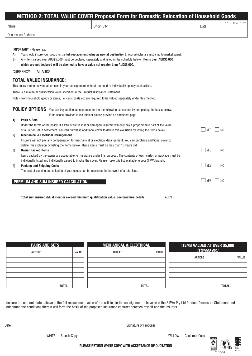| Name |                                                                                       | Origin City                                                                                                                                                                                                                                          | Date       | DD / MM / YY   |
|------|---------------------------------------------------------------------------------------|------------------------------------------------------------------------------------------------------------------------------------------------------------------------------------------------------------------------------------------------------|------------|----------------|
|      | <b>Destination Address</b>                                                            |                                                                                                                                                                                                                                                      |            |                |
|      |                                                                                       |                                                                                                                                                                                                                                                      |            |                |
|      | <b>IMPORTANT</b> - Please read                                                        |                                                                                                                                                                                                                                                      |            |                |
| A)   |                                                                                       | You should insure your goods for the <b>full replacement value as new at destination</b> (motor vehicles are restricted to market value).                                                                                                            |            |                |
| B)   |                                                                                       | Any item valued over AUD\$5,000 must be declared separately and listed in the schedule below. Items over AUD\$5,000                                                                                                                                  |            |                |
|      |                                                                                       | which are not declared will be deemed to have a value not greater than AUD\$5,000.                                                                                                                                                                   |            |                |
|      | <b>CURRENCY:</b><br>All AUD\$                                                         |                                                                                                                                                                                                                                                      |            |                |
|      | <b>TOTAL VALUE INSURANCE:</b>                                                         |                                                                                                                                                                                                                                                      |            |                |
|      |                                                                                       | This policy method covers all articles in your consignment without the need to individually specify each article.                                                                                                                                    |            |                |
|      | There is a minimum qualification value specified in the Product Disclosure Statement. |                                                                                                                                                                                                                                                      |            |                |
|      |                                                                                       | Note - Non-household goods or items, i.e. cars, boats etc are required to be valued separately under this method.                                                                                                                                    |            |                |
|      |                                                                                       |                                                                                                                                                                                                                                                      |            |                |
|      |                                                                                       | POLICY OPTIONS - You can buy additional insurance for the the following extensions by completing the boxes below.                                                                                                                                    |            |                |
|      |                                                                                       | If the space provided is insufficient please provide an additional page.                                                                                                                                                                             |            |                |
| 1)   | Pairs & Sets                                                                          |                                                                                                                                                                                                                                                      |            |                |
|      |                                                                                       | Under the terms of the policy, if a Pair or Set is lost or damaged, insurers will only pay a proportionate part of the value                                                                                                                         |            |                |
|      |                                                                                       | of a Pair or Set in settlement. You can purchase additional cover to delete this exclusion by listing the items below.                                                                                                                               | <b>YES</b> | $\sqrt{1}$ NO  |
| 2)   | <b>Mechanical &amp; Electrical Derangement</b>                                        |                                                                                                                                                                                                                                                      |            |                |
|      |                                                                                       | Insurers will not pay any compensation for mechanical or electrical derangement. You can purchase additional cover to                                                                                                                                |            |                |
|      |                                                                                       | delete this exclusion by listing the items below. These items must be less than 10 years old.                                                                                                                                                        |            | $\overline{M}$ |
| 3)   | <b>Owner Packed Items</b>                                                             |                                                                                                                                                                                                                                                      | <b>YES</b> |                |
|      |                                                                                       | Items packed by the owner are acceptable for Insurance under this proposal. The contents of each carton or package must be<br>individually listed and individually valued to invoke the cover. Please make this list available to your SIRVA branch. |            |                |
| 4)   | <b>Packing and Shipping Costs</b>                                                     |                                                                                                                                                                                                                                                      | <b>YES</b> | $\overline{N}$ |
|      |                                                                                       | The cost of packing and shipping of your goods can be recovered in the event of a total loss.                                                                                                                                                        |            |                |
|      |                                                                                       |                                                                                                                                                                                                                                                      |            |                |
|      | PREMIUM AND SUM INSURED CALCULATION:                                                  |                                                                                                                                                                                                                                                      | <b>YES</b> | I NO           |

| <b>PAIRS AND SETS</b> | <b>MECHANICAL &amp; ELECTRICAL</b> |                | ITEMS VALUED AT OVER \$5,000 |                |              |
|-----------------------|------------------------------------|----------------|------------------------------|----------------|--------------|
| <b>ARTICLE</b>        | <b>VALUE</b>                       | <b>ARTICLE</b> | <b>VALUE</b>                 | (stereos etc)  |              |
|                       |                                    |                |                              | <b>ARTICLE</b> | <b>VALUE</b> |
|                       |                                    |                |                              |                |              |
|                       |                                    |                |                              |                |              |
|                       |                                    |                |                              |                |              |
|                       |                                    |                |                              |                |              |
|                       |                                    |                |                              |                |              |
| <b>TOTAL</b>          |                                    | <b>TOTAL</b>   |                              | <b>TOTAL</b>   |              |

I declare the amount stated above is the full replacement value of the articles in the consignment. I have read the SIRVA Pty Ltd Product Disclosure Statement and understand the conditions therein will form the basis of the proposed insurance contract between myself and the Insurers.

Date \_\_\_\_\_\_\_\_\_\_\_\_\_\_\_\_\_\_\_\_\_\_\_\_\_\_\_\_\_\_\_\_\_\_\_\_\_\_\_\_\_\_\_\_\_\_\_\_\_\_\_\_\_\_\_ Signature of Proposer \_\_\_\_\_\_\_\_\_\_\_\_\_\_\_\_\_\_\_\_\_\_\_\_\_\_\_\_\_\_\_\_\_\_\_\_\_\_\_\_\_\_\_\_\_\_\_\_\_\_\_\_\_

WHITE - Branch Copy **YELLOW** - Customer Copy



**PLEASE RETURN WHITE COPY WITH ACCEPTANCE OF QUOTATION**